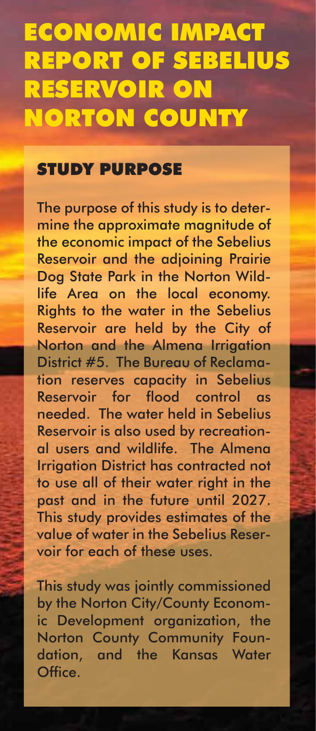## ECONOMIC IMPACT REPORT OF SEBELIUS RESERVOIR ON NORTON COUNTY

## STUDY PURPOSE

The purpose of this study is to determine the approximate magnitude of the economic impact of the Sebelius Reservoir and the adjoining Prairie Dog State Park in the Norton Wildlife Area on the local economy. Rights to the water in the Sebelius Reservoir are held by the City of Norton and the Almena Irrigation District #5. The Bureau of Reclamation reserves capacity in Sebelius Reservoir for flood control as needed. The water held in Sebelius Reservoir is also used by recreational users and wildlife. The Almena Irrigation District has contracted not to use all of their water right in the past and in the future until 2027. This study provides estimates of the value of water in the Sebelius Reservoir for each of these uses.

This study was jointly commissioned by the Norton City/County Economic Development organization, the Norton County Community Foundation, and the Kansas Water Office.